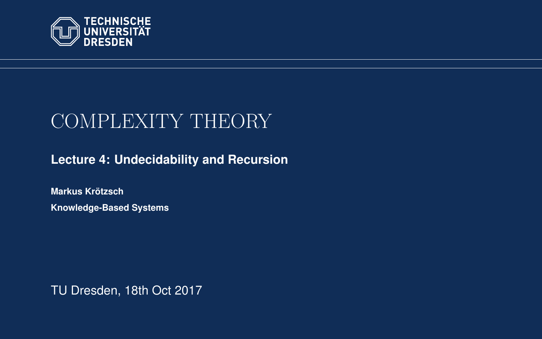<span id="page-0-0"></span>

# COMPLEXITY THEORY

**[Lecture 4: Undecidability and Recursion](https://iccl.inf.tu-dresden.de/web/Complexity_Theory_(WS2017/18))**

**[Markus Krotzsch](https://iccl.inf.tu-dresden.de/web/Markus_Kr%C3%B6tzsch/en) ¨ Knowledge-Based Systems**

TU Dresden, 18th Oct 2017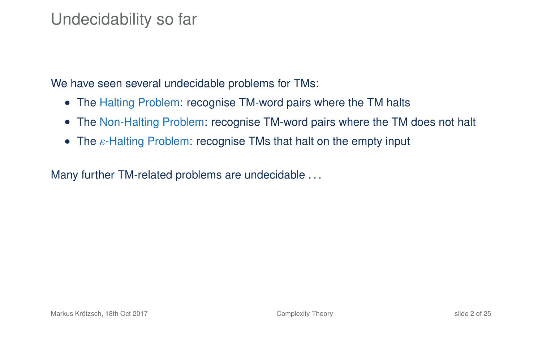### Undecidability so far

We have seen several undecidable problems for TMs:

- The Halting Problem: recognise TM-word pairs where the TM halts
- The Non-Halting Problem: recognise TM-word pairs where the TM does not halt
- <span id="page-1-0"></span>• The  $\varepsilon$ -Halting Problem: recognise TMs that halt on the empty input

Many further TM-related problems are undecidable ...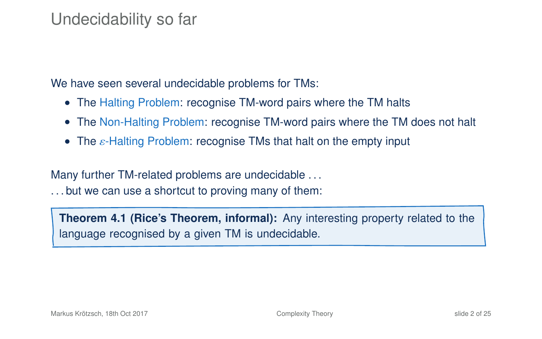### Undecidability so far

We have seen several undecidable problems for TMs:

- The Halting Problem: recognise TM-word pairs where the TM halts
- The Non-Halting Problem: recognise TM-word pairs where the TM does not halt
- The  $\varepsilon$ -Halting Problem: recognise TMs that halt on the empty input

Many further TM-related problems are undecidable . . .

. . . but we can use a shortcut to proving many of them:

**Theorem 4.1 (Rice's Theorem, informal):** Any interesting property related to the language recognised by a given TM is undecidable.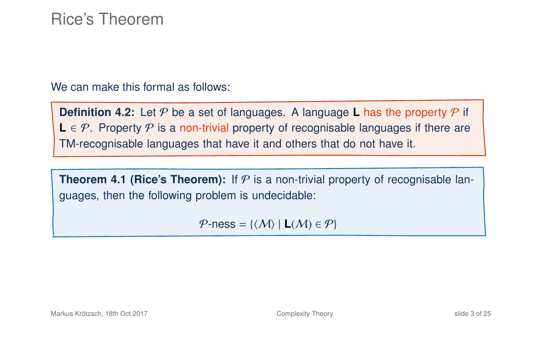#### Rice's Theorem

We can make this formal as follows:

**Definition 4.2:** Let  $P$  be a set of languages. A language **L** has the property  $P$  if **L** ∈  $P$ . Property  $P$  is a non-trivial property of recognisable languages if there are TM-recognisable languages that have it and others that do not have it.

**Theorem 4[.1](#page-1-0) (Rice's Theorem):** If  $P$  is a non-trivial property of recognisable languages, then the following problem is undecidable:

 $P$ -ness = { $\langle M \rangle$  | **L** $(M) \in P$ }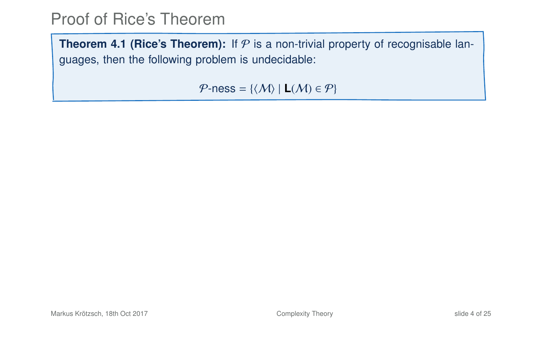**Theorem 4[.1](#page-1-0) (Rice's Theorem):** If  $P$  is a non-trivial property of recognisable languages, then the following problem is undecidable:

 $P$ -ness = { $\langle M \rangle$  | **L** $(M) \in P$ }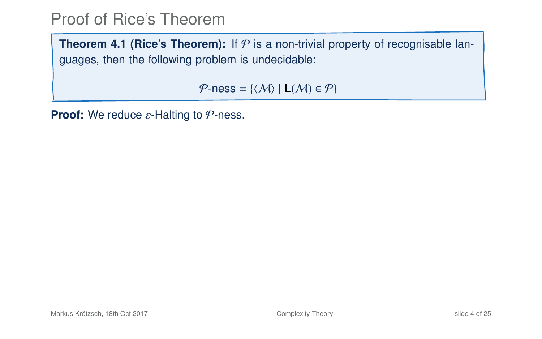**Theorem 4[.1](#page-1-0) (Rice's Theorem):** If  $P$  is a non-trivial property of recognisable languages, then the following problem is undecidable:

 $P$ -ness = { $\langle M \rangle$  | **L** $(M) \in P$ }

**Proof:** We reduce ε-Halting to *P*-ness.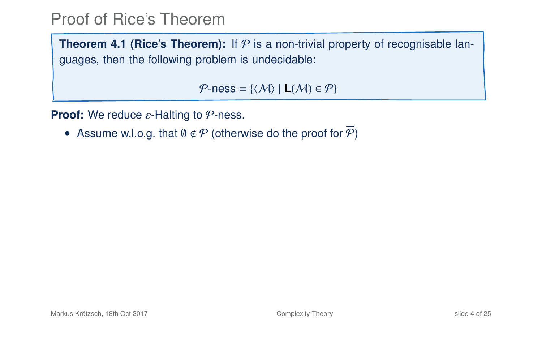**Theorem 4[.1](#page-1-0) (Rice's Theorem):** If  $P$  is a non-trivial property of recognisable languages, then the following problem is undecidable:

 $P$ -ness = { $\langle M \rangle$  | **L** $(M) \in P$ }

**Proof:** We reduce ε-Halting to *P*-ness.

• Assume w.l.o.g. that  $\emptyset \notin \mathcal{P}$  (otherwise do the proof for  $\overline{\mathcal{P}}$ )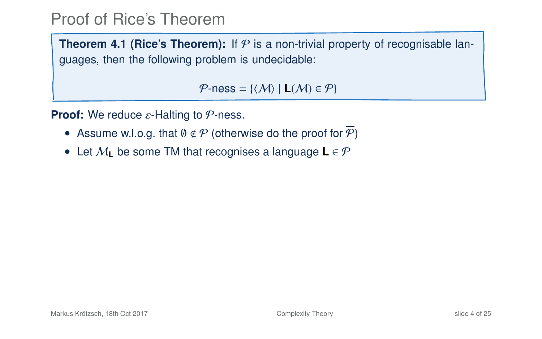**Theorem 4[.1](#page-1-0) (Rice's Theorem):** If  $P$  is a non-trivial property of recognisable languages, then the following problem is undecidable:

 $P$ -ness = { $\langle M \rangle$  | **L** $(M) \in P$ }

**Proof:** We reduce ε-Halting to *P*-ness.

- Assume w.l.o.g. that  $\emptyset \notin \mathcal{P}$  (otherwise do the proof for  $\mathcal{P}$ )
- Let M**<sup>L</sup>** be some TM that recognises a language **L** ∈ P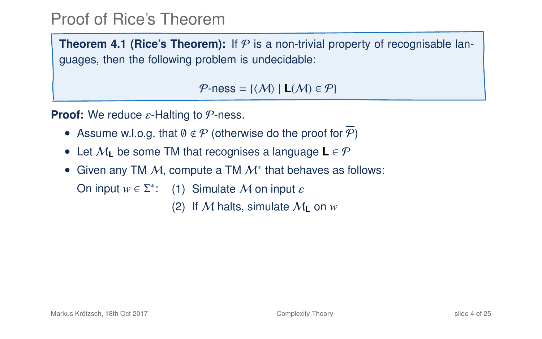**Theorem 4[.1](#page-1-0) (Rice's Theorem):** If  $P$  is a non-trivial property of recognisable languages, then the following problem is undecidable:

 $P$ -ness = { $\langle M \rangle$  | **L** $(M) \in P$ }

**Proof:** We reduce ε-Halting to *P*-ness.

- Assume w.l.o.g. that  $\emptyset \notin \mathcal{P}$  (otherwise do the proof for  $\mathcal{P}$ )
- Let M**<sup>L</sup>** be some TM that recognises a language **L** ∈ P
- Given any TM  $M$ , compute a TM  $M^*$  that behaves as follows:

On input  $w \in \Sigma^*$ : (1) Simulate *M* on input  $\varepsilon$ 

(2) If M halts, simulate  $M_{\text{I}}$  on  $w$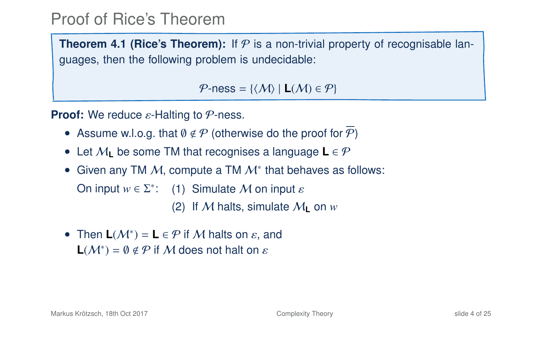**Theorem 4[.1](#page-1-0) (Rice's Theorem):** If  $P$  is a non-trivial property of recognisable languages, then the following problem is undecidable:

 $P$ -ness = { $\langle M \rangle$  | **L** $(M) \in P$ }

**Proof:** We reduce ε-Halting to *P*-ness.

- Assume w.l.o.g. that  $\emptyset \notin \mathcal{P}$  (otherwise do the proof for  $\mathcal{P}$ )
- Let M**<sup>L</sup>** be some TM that recognises a language **L** ∈ P
- Given any TM  $M$ , compute a TM  $M^*$  that behaves as follows:

On input  $w \in \Sigma^*$ : (1) Simulate *M* on input  $\varepsilon$ 

(2) If M halts, simulate  $M_{\text{I}}$  on  $w$ 

• Then  $L(M^*) = L \in \mathcal{P}$  if M halts on  $\varepsilon$ , and **L**( $\mathcal{M}^*$ ) = 0  $\notin \mathcal{P}$  if M does not halt on  $\varepsilon$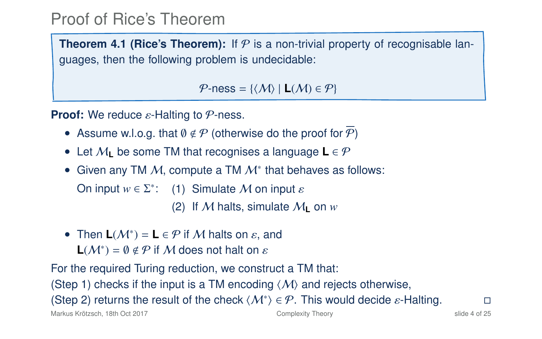**Theorem 4[.1](#page-1-0) (Rice's Theorem):** If  $P$  is a non-trivial property of recognisable languages, then the following problem is undecidable:

 $P$ -ness = { $\langle M \rangle$  | **L** $(M) \in P$ }

**Proof:** We reduce ε-Halting to *P*-ness.

- Assume w.l.o.g. that  $\emptyset \notin \mathcal{P}$  (otherwise do the proof for  $\mathcal{P}$ )
- Let M**<sup>L</sup>** be some TM that recognises a language **L** ∈ P
- Given any TM  $M$ , compute a TM  $M^*$  that behaves as follows:

On input  $w \in \Sigma^*$ : (1) Simulate *M* on input  $\varepsilon$ 

(2) If M halts, simulate  $M_{\text{I}}$  on  $w$ 

• Then  $L(M^*) = L \in \mathcal{P}$  if M halts on  $\varepsilon$ , and **L**( $M^*$ ) =  $\emptyset \notin \mathcal{P}$  if  $M$  does not halt on  $\varepsilon$ 

For the required Turing reduction, we construct a TM that:

(Step 1) checks if the input is a TM encoding  $\langle M \rangle$  and rejects otherwise,

(Step 2) returns the result of the check  $\langle M^* \rangle \in \mathcal{P}$ . This would decide  $\varepsilon$ -Halting.  $\square$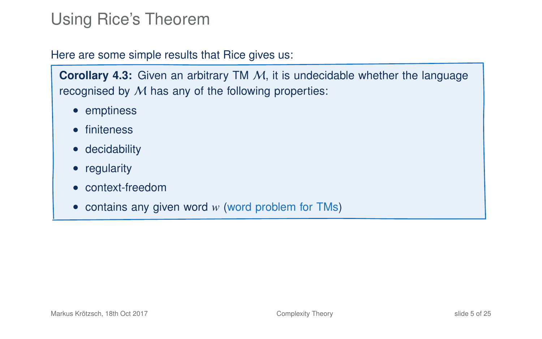# Using Rice's Theorem

#### Here are some simple results that Rice gives us:

**Corollary 4.3:** Given an arbitrary TM M, it is undecidable whether the language recognised by M has any of the following properties:

- emptiness
- finiteness
- decidability
- regularity
- context-freedom
- contains any given word *w* (word problem for TMs)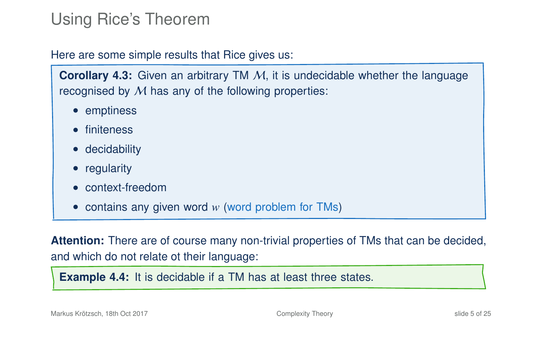# Using Rice's Theorem

Here are some simple results that Rice gives us:

**Corollary 4.3:** Given an arbitrary TM M, it is undecidable whether the language recognised by  $M$  has any of the following properties:

- emptiness
- finiteness
- decidability
- regularity
- context-freedom
- contains any given word *w* (word problem for TMs)

**Attention:** There are of course many non-trivial properties of TMs that can be decided, and which do not relate ot their language:

**Example 4.4:** It is decidable if a TM has at least three states.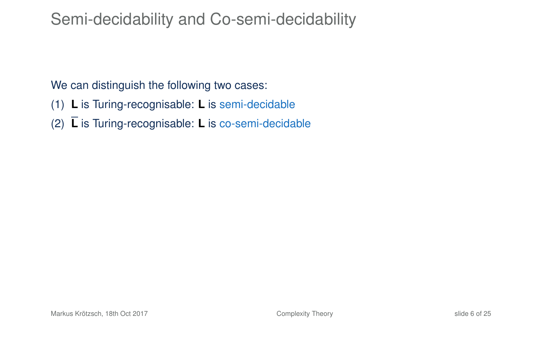## Semi-decidability and Co-semi-decidability

We can distinguish the following two cases:

- (1) **L** is Turing-recognisable: **L** is semi-decidable
- (2) **L** is Turing-recognisable: **L** is co-semi-decidable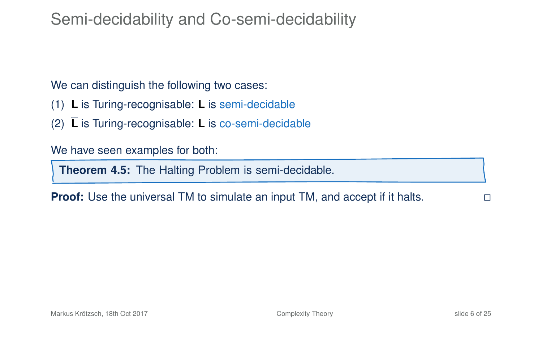# Semi-decidability and Co-semi-decidability

We can distinguish the following two cases:

- (1) **L** is Turing-recognisable: **L** is semi-decidable
- (2) **L** is Turing-recognisable: **L** is co-semi-decidable

We have seen examples for both:

**Theorem 4.5:** The Halting Problem is semi-decidable.

**Proof:** Use the universal TM to simulate an input TM, and accept if it halts.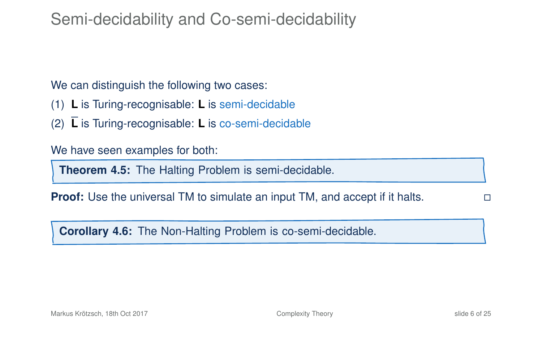### Semi-decidability and Co-semi-decidability

We can distinguish the following two cases:

- (1) **L** is Turing-recognisable: **L** is semi-decidable
- (2) **L** is Turing-recognisable: **L** is co-semi-decidable

We have seen examples for both:

**Theorem 4.5:** The Halting Problem is semi-decidable.

**Proof:** Use the universal TM to simulate an input TM, and accept if it halts.

**Corollary 4.6:** The Non-Halting Problem is co-semi-decidable.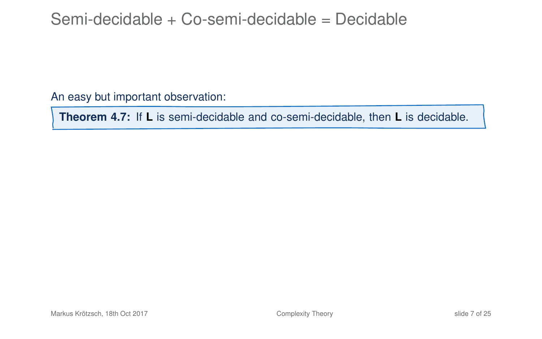### Semi-decidable + Co-semi-decidable = Decidable

An easy but important observation:

**Theorem 4.7:** If **L** is semi-decidable and co-semi-decidable, then **L** is decidable.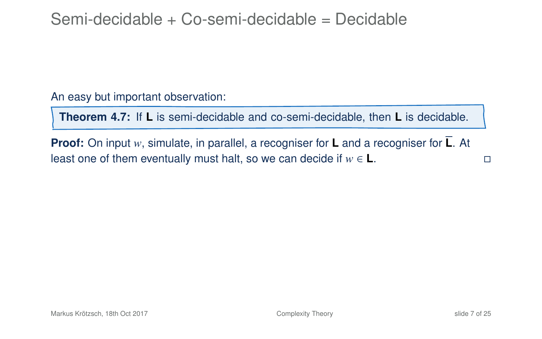### Semi-decidable + Co-semi-decidable = Decidable

An easy but important observation:

**Theorem 4.7:** If **L** is semi-decidable and co-semi-decidable, then **L** is decidable.

**Proof:** On input *w*, simulate, in parallel, a recogniser for **L** and a recogniser for **L**. At least one of them eventually must halt, so we can decide if  $w \in L$ .  $□$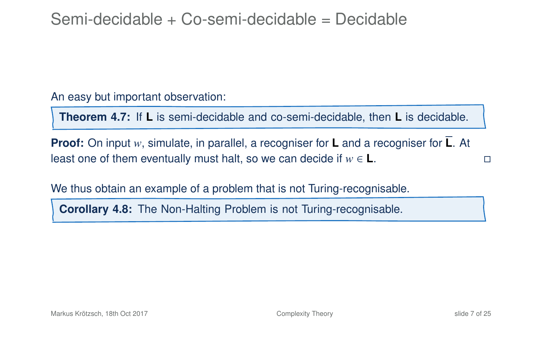### Semi-decidable + Co-semi-decidable = Decidable

An easy but important observation:

**Theorem 4.7:** If **L** is semi-decidable and co-semi-decidable, then **L** is decidable.

**Proof:** On input *w*, simulate, in parallel, a recogniser for **L** and a recogniser for **L**. At least one of them eventually must halt, so we can decide if  $w \in L$ .  $□$ 

We thus obtain an example of a problem that is not Turing-recognisable.

**Corollary 4.8:** The Non-Halting Problem is not Turing-recognisable.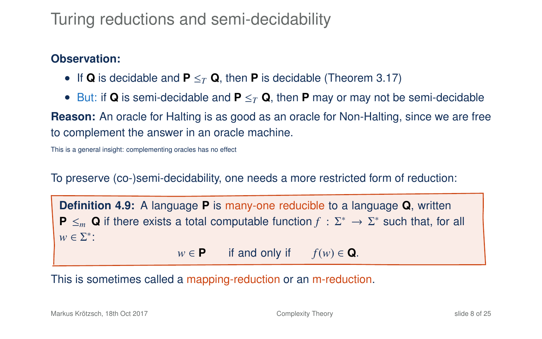# Turing reductions and semi-decidability

#### **Observation:**

- If **Q** is decidable and **P** ≤*<sup>T</sup>* **Q**, then **P** is decidable (Theorem 3.17)
- But: if **Q** is semi-decidable and **P** ≤*<sup>T</sup>* **Q**, then **P** may or may not be semi-decidable

**Reason:** An oracle for Halting is as good as an oracle for Non-Halting, since we are free to complement the answer in an oracle machine.

This is a general insight: complementing oracles has no effect

To preserve (co-)semi-decidability, one needs a more restricted form of reduction:

**Definition 4.9:** A language **P** is many-one reducible to a language **Q**, written **P**  $\leq_m$  **Q** if there exists a total computable function  $f : \Sigma^* \to \Sigma^*$  such that, for all  $w \in \Sigma^*$ :  $w \in \mathbf{P}$  if and only if  $f(w) \in \mathbf{Q}$ .

This is sometimes called a mapping-reduction or an m-reduction.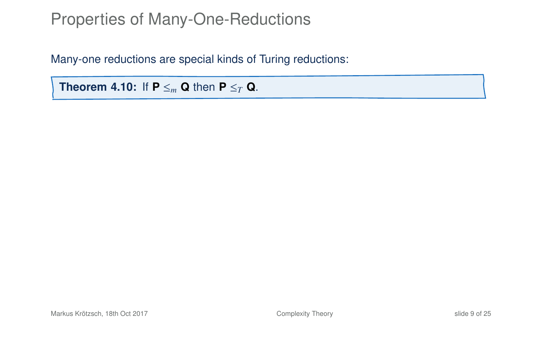Many-one reductions are special kinds of Turing reductions:

<span id="page-20-0"></span>**Theorem 4.10:** If  $P \leq_m Q$  then  $P \leq_T Q$ .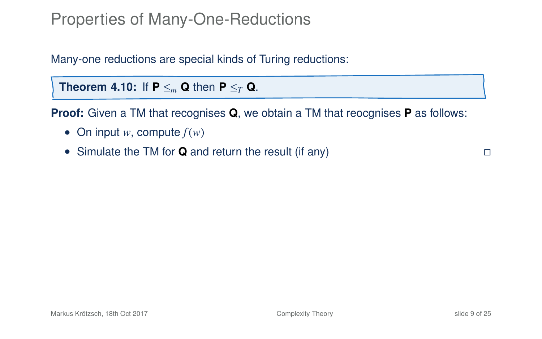Many-one reductions are special kinds of Turing reductions:

**Theorem 4.10:** If  $P \leq_m Q$  then  $P \leq_T Q$ .

**Proof:** Given a TM that recognises **Q**, we obtain a TM that reocgnises **P** as follows:

- On input  $w$ , compute  $f(w)$
- Simulate the TM for **Q** and return the result (if any)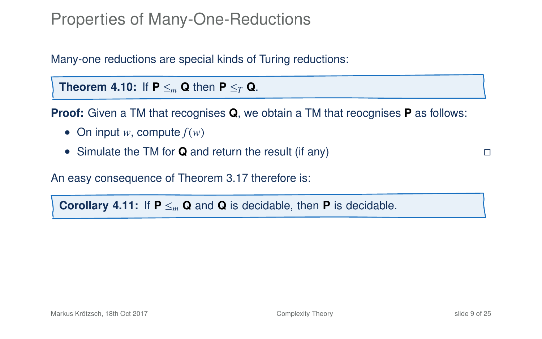Many-one reductions are special kinds of Turing reductions:

**Theorem 4.10:** If  $P \leq_m Q$  then  $P \leq_T Q$ .

**Proof:** Given a TM that recognises **Q**, we obtain a TM that reocgnises **P** as follows:

- On input  $w$ , compute  $f(w)$
- Simulate the TM for **Q** and return the result (if any)

An easy consequence of Theorem 3.17 therefore is:

**Corollary 4.11:** If  $P \leq_{m} Q$  and  $Q$  is decidable, then **P** is decidable.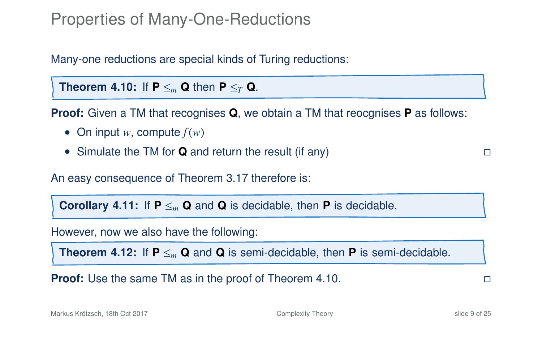Many-one reductions are special kinds of Turing reductions:

**Theorem 4.10:** If  $P \leq_m Q$  then  $P \leq_T Q$ .

**Proof:** Given a TM that recognises **Q**, we obtain a TM that reocgnises **P** as follows:

- On input  $w$ , compute  $f(w)$
- Simulate the TM for **Q** and return the result (if any)

An easy consequence of Theorem 3.17 therefore is:

**Corollary 4.11:** If  $P \leq_m Q$  and **Q** is decidable, then **P** is decidable.

However, now we also have the following:

**Theorem 4.12:** If  $P \leq_m Q$  and Q is semi-decidable, then P is semi-decidable.

**Proof:** Use the same TM as in the proof of Theorem 4[.10.](#page-20-0)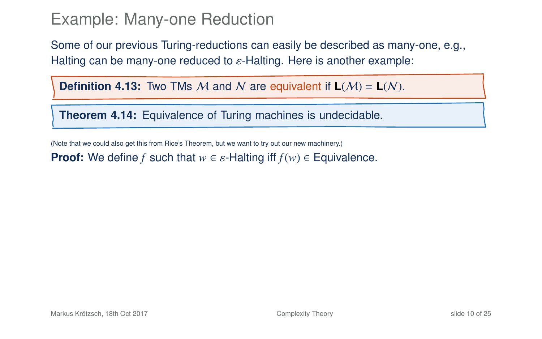Some of our previous Turing-reductions can easily be described as many-one, e.g., Halting can be many-one reduced to  $\varepsilon$ -Halting. Here is another example:

**Definition 4.13:** Two TMs M and N are equivalent if  $L(M) = L(N)$ .

**Theorem 4.14:** Equivalence of Turing machines is undecidable.

(Note that we could also get this from Rice's Theorem, but we want to try out our new machinery.)

**Proof:** We define *f* such that  $w \in \varepsilon$ -Halting iff  $f(w) \in \mathsf{Equivalence}$ .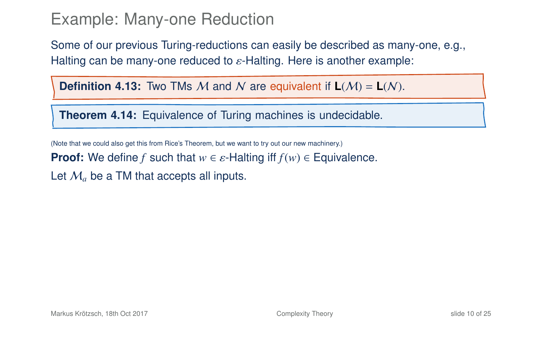Some of our previous Turing-reductions can easily be described as many-one, e.g., Halting can be many-one reduced to  $\varepsilon$ -Halting. Here is another example:

**Definition 4.13:** Two TMs M and N are equivalent if  $L(M) = L(N)$ .

**Theorem 4.14:** Equivalence of Turing machines is undecidable.

(Note that we could also get this from Rice's Theorem, but we want to try out our new machinery.)

**Proof:** We define *f* such that  $w \in \varepsilon$ -Halting iff  $f(w) \in \mathsf{Equivalence}$ .

Let  $M_a$  be a TM that accepts all inputs.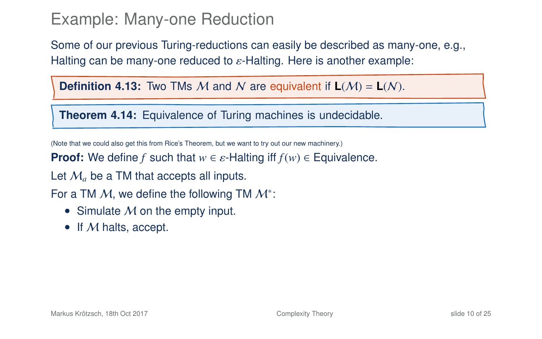Some of our previous Turing-reductions can easily be described as many-one, e.g., Halting can be many-one reduced to  $\varepsilon$ -Halting. Here is another example:

**Definition 4.13:** Two TMs M and N are equivalent if  $L(M) = L(N)$ .

**Theorem 4.14:** Equivalence of Turing machines is undecidable.

(Note that we could also get this from Rice's Theorem, but we want to try out our new machinery.)

**Proof:** We define *f* such that  $w \in \varepsilon$ -Halting iff  $f(w) \in \mathsf{Equivalence}$ .

Let  $M_a$  be a TM that accepts all inputs.

For a TM  $M$ , we define the following TM  $M^*$ :

- Simulate  $M$  on the empty input.
- If M halts, accept.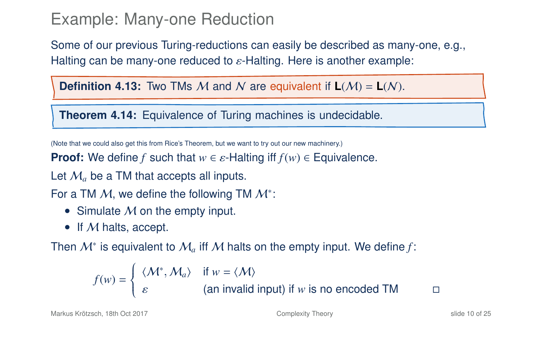Some of our previous Turing-reductions can easily be described as many-one, e.g., Halting can be many-one reduced to  $\varepsilon$ -Halting. Here is another example:

**Definition 4.13:** Two TMs M and N are equivalent if  $L(M) = L(N)$ .

**Theorem 4.14:** Equivalence of Turing machines is undecidable.

(Note that we could also get this from Rice's Theorem, but we want to try out our new machinery.)

**Proof:** We define *f* such that  $w \in \varepsilon$ -Halting iff  $f(w) \in \mathsf{Equivalence}$ .

Let  $M_a$  be a TM that accepts all inputs.

For a TM  $M$ , we define the following TM  $M^*$ :

- Simulate  $M$  on the empty input.
- If M halts, accept.

Then  $\mathcal{M}^*$  is equivalent to  $\mathcal{M}_a$  iff  $\mathcal M$  halts on the empty input. We define f:

$$
f(w) = \begin{cases} \langle M^*, M_a \rangle & \text{if } w = \langle M \rangle \\ \varepsilon & \text{(an invalid input) if } w \text{ is no encoded TM} \end{cases}
$$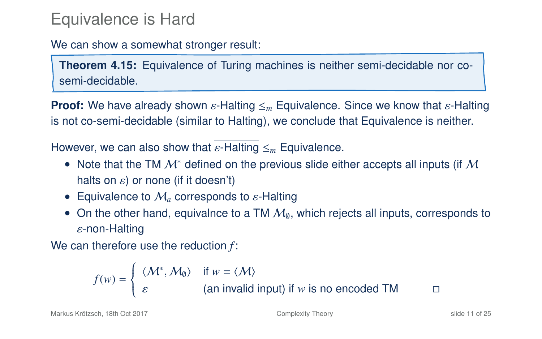### Equivalence is Hard

We can show a somewhat stronger result:

**Theorem 4.15:** Equivalence of Turing machines is neither semi-decidable nor cosemi-decidable.

**Proof:** We have already shown ε-Halting  $\leq_m$  Equivalence. Since we know that ε-Halting is not co-semi-decidable (similar to Halting), we conclude that Equivalence is neither.

However, we can also show that <sup>ε</sup>-Halting <sup>≤</sup>*<sup>m</sup>* Equivalence.

- Note that the TM  $\mathcal{M}^*$  defined on the previous slide either accepts all inputs (if  $\mathcal M$ halts on  $\varepsilon$ ) or none (if it doesn't)
- Equivalence to  $\mathcal{M}_a$  corresponds to  $\varepsilon$ -Halting
- On the other hand, equivalnce to a TM  $M<sub>0</sub>$ , which rejects all inputs, corresponds to ε-non-Halting

We can therefore use the reduction *f* :

$$
f(w) = \begin{cases} \langle \mathcal{M}^*, \mathcal{M}_0 \rangle & \text{if } w = \langle \mathcal{M} \rangle \\ \varepsilon & \text{(an invalid input) if } w \text{ is no encoded TM} \end{cases}
$$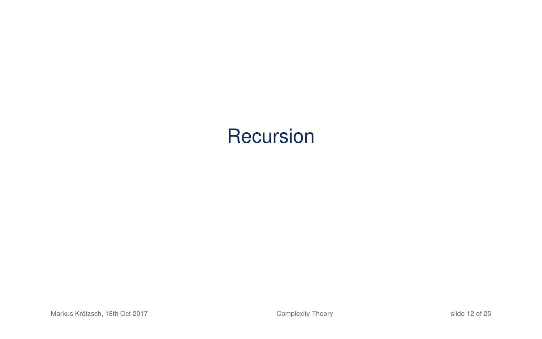# **Recursion**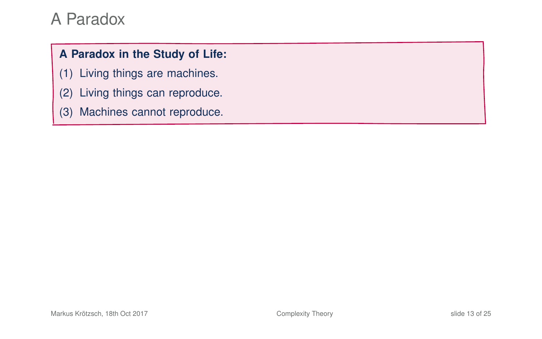#### **A Paradox in the Study of Life:**

- (1) Living things are machines.
- (2) Living things can reproduce.
- (3) Machines cannot reproduce.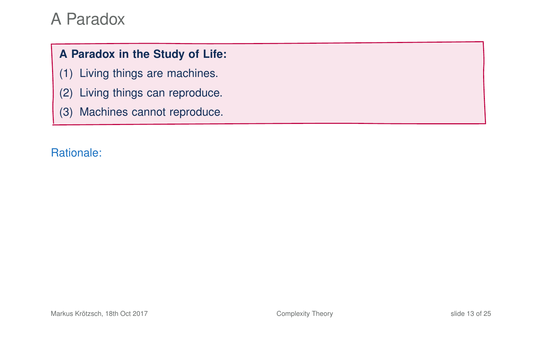#### **A Paradox in the Study of Life:**

- (1) Living things are machines.
- (2) Living things can reproduce.
- (3) Machines cannot reproduce.

#### Rationale: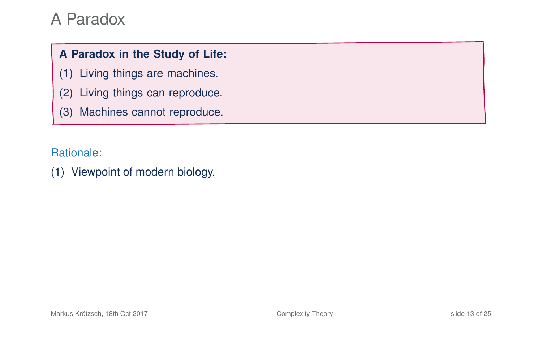#### **A Paradox in the Study of Life:**

- (1) Living things are machines.
- (2) Living things can reproduce.
- (3) Machines cannot reproduce.

Rationale:

(1) Viewpoint of modern biology.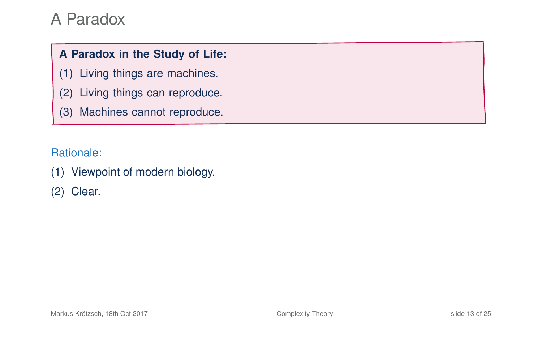#### **A Paradox in the Study of Life:**

- (1) Living things are machines.
- (2) Living things can reproduce.
- (3) Machines cannot reproduce.

Rationale:

(1) Viewpoint of modern biology.

(2) Clear.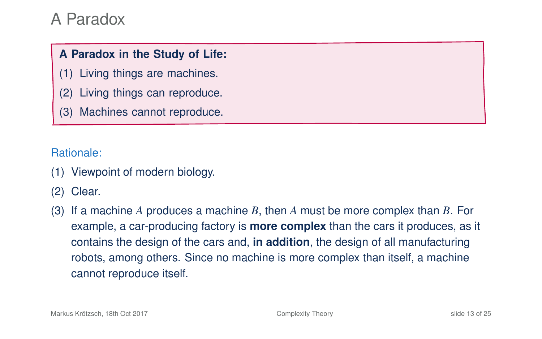#### **A Paradox in the Study of Life:**

- (1) Living things are machines.
- (2) Living things can reproduce.
- (3) Machines cannot reproduce.

Rationale:

- (1) Viewpoint of modern biology.
- (2) Clear.
- (3) If a machine *A* produces a machine *B*, then *A* must be more complex than *B*. For example, a car-producing factory is **more complex** than the cars it produces, as it contains the design of the cars and, **in addition**, the design of all manufacturing robots, among others. Since no machine is more complex than itself, a machine cannot reproduce itself.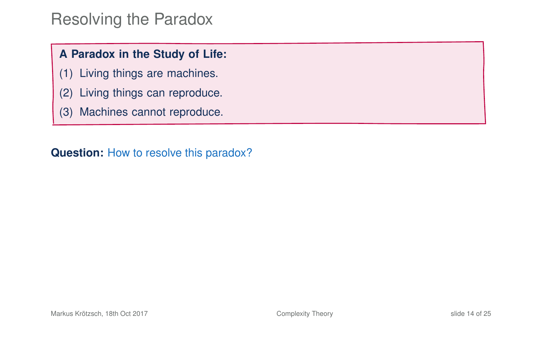### Resolving the Paradox

#### **A Paradox in the Study of Life:**

- (1) Living things are machines.
- (2) Living things can reproduce.
- (3) Machines cannot reproduce.

**Question:** How to resolve this paradox?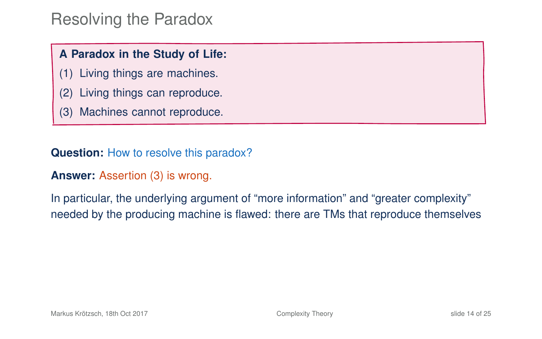#### Resolving the Paradox

#### **A Paradox in the Study of Life:**

- (1) Living things are machines.
- (2) Living things can reproduce.
- (3) Machines cannot reproduce.

**Question:** How to resolve this paradox?

#### **Answer:** Assertion (3) is wrong.

In particular, the underlying argument of "more information" and "greater complexity" needed by the producing machine is flawed: there are TMs that reproduce themselves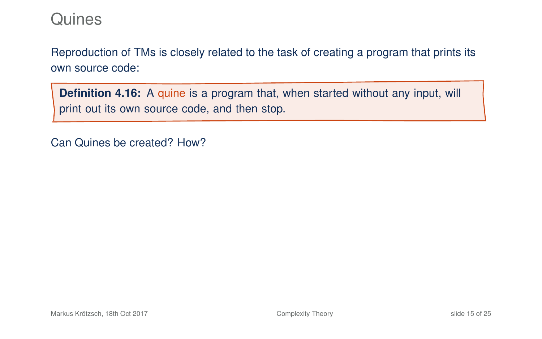Reproduction of TMs is closely related to the task of creating a program that prints its own source code:

**Definition 4.16:** A quine is a program that, when started without any input, will print out its own source code, and then stop.

Can Quines be created? How?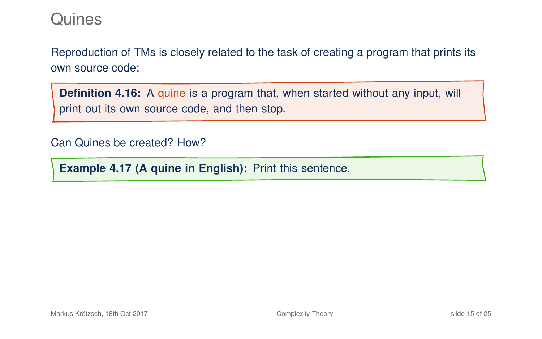Reproduction of TMs is closely related to the task of creating a program that prints its own source code:

**Definition 4.16:** A quine is a program that, when started without any input, will print out its own source code, and then stop.

Can Quines be created? How?

**Example 4.17 (A quine in English):** Print this sentence.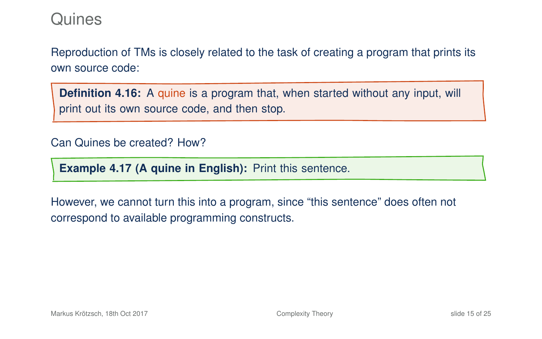Reproduction of TMs is closely related to the task of creating a program that prints its own source code:

**Definition 4.16:** A quine is a program that, when started without any input, will print out its own source code, and then stop.

#### Can Quines be created? How?

**Example 4.17 (A quine in English):** Print this sentence.

However, we cannot turn this into a program, since "this sentence" does often not correspond to available programming constructs.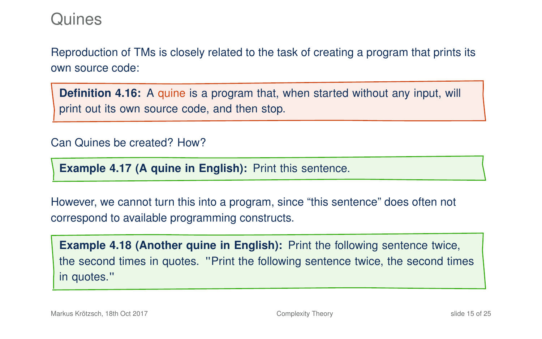Reproduction of TMs is closely related to the task of creating a program that prints its own source code:

**Definition 4.16:** A quine is a program that, when started without any input, will print out its own source code, and then stop.

#### Can Quines be created? How?

**Example 4.17 (A quine in English):** Print this sentence.

However, we cannot turn this into a program, since "this sentence" does often not correspond to available programming constructs.

**Example 4.18 (Another quine in English):** Print the following sentence twice, the second times in quotes. "Print the following sentence twice, the second times in quotes."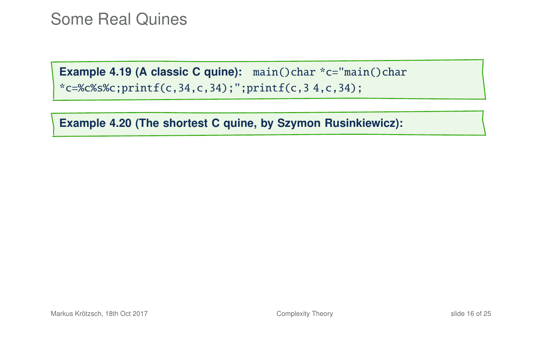**Example 4.20 (The shortest C quine, by Szymon Rusinkiewicz):**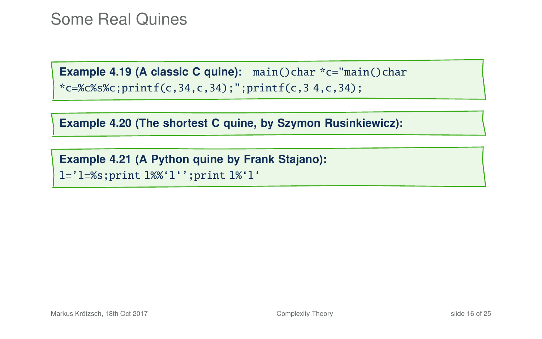**Example 4.20 (The shortest C quine, by Szymon Rusinkiewicz):**

**Example 4.21 (A Python quine by Frank Stajano):** l='l=%s;print l%%'l'';print l%'l'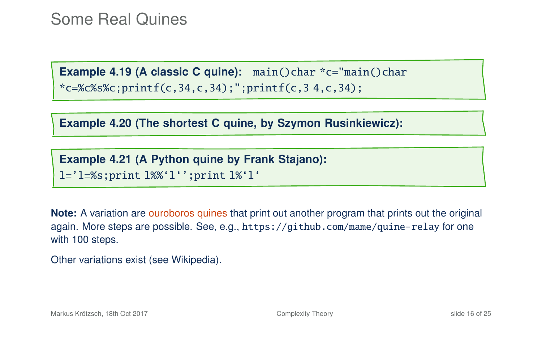**Example 4.20 (The shortest C quine, by Szymon Rusinkiewicz):**

**Example 4.21 (A Python quine by Frank Stajano):** l='l=%s;print l%%'l'';print l%'l'

**Note:** A variation are ouroboros quines that print out another program that prints out the original again. More steps are possible. See, e.g., <https://github.com/mame/quine-relay> for one with 100 steps.

Other variations exist [\(see Wikipedia\)](https://en.wikipedia.org/wiki/Quine_(computing)).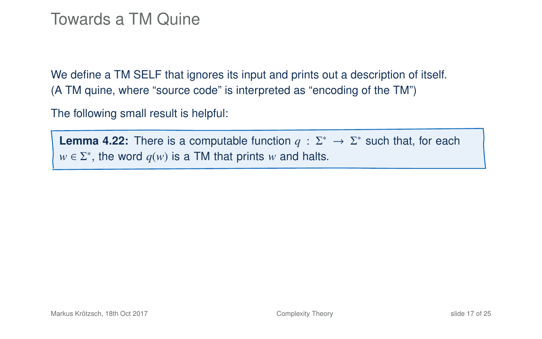#### Towards a TM Quine

We define a TM SELF that ignores its input and prints out a description of itself. (A TM quine, where "source code" is interpreted as "encoding of the TM")

The following small result is helpful:

**Lemma 4.22:** There is a computable function  $q : \Sigma^* \to \Sigma^*$  such that, for each  $w \in \Sigma^*$ , the word  $q(w)$  is a TM that prints *w* and halts.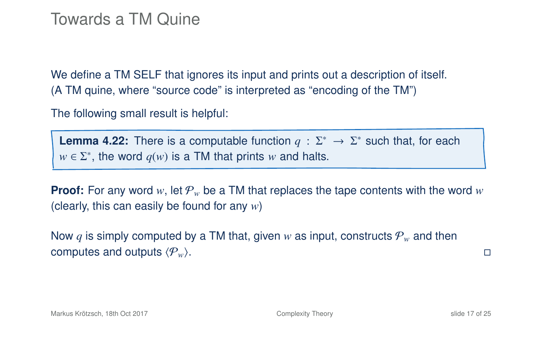#### Towards a TM Quine

We define a TM SELF that ignores its input and prints out a description of itself. (A TM quine, where "source code" is interpreted as "encoding of the TM")

The following small result is helpful:

**Lemma 4.22:** There is a computable function  $q : \Sigma^* \to \Sigma^*$  such that, for each  $w \in \Sigma^*$ , the word  $q(w)$  is a TM that prints *w* and halts.

**Proof:** For any word  $w$ , let  $\mathcal{P}_w$  be a TM that replaces the tape contents with the word  $w$ (clearly, this can easily be found for any *w*)

Now q is simply computed by a TM that, given w as input, constructs  $P_w$  and then computes and outputs  $\langle P_w \rangle$ .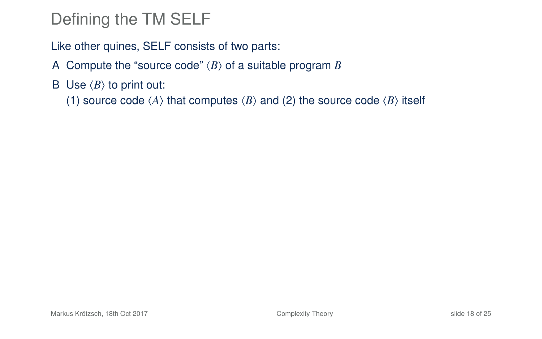# Defining the TM SELF

Like other quines, SELF consists of two parts:

- A Compute the "source code"  $\langle B \rangle$  of a suitable program *B*
- B Use  $\langle B \rangle$  to print out:

(1) source code  $\langle A \rangle$  that computes  $\langle B \rangle$  and (2) the source code  $\langle B \rangle$  itself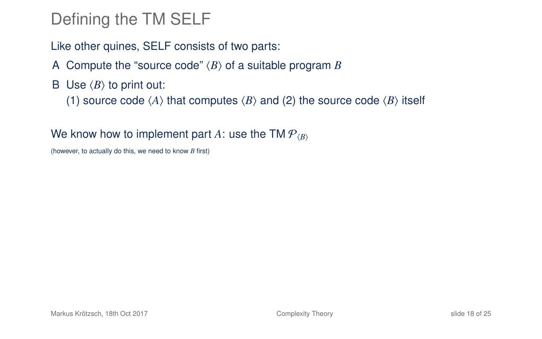# Defining the TM SELF

Like other quines, SELF consists of two parts:

- A Compute the "source code"  $\langle B \rangle$  of a suitable program *B*
- B Use  $\langle B \rangle$  to print out:

(1) source code  $\langle A \rangle$  that computes  $\langle B \rangle$  and (2) the source code  $\langle B \rangle$  itself

#### We know how to implement part A: use the TM  $P_{\ell B}$

(however, to actually do this, we need to know *B* first)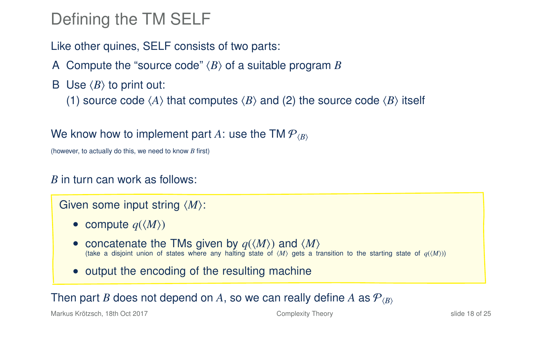# Defining the TM SELF

Like other quines, SELF consists of two parts:

- A Compute the "source code"  $\langle B \rangle$  of a suitable program *B*
- B Use  $\langle B \rangle$  to print out:

(1) source code  $\langle A \rangle$  that computes  $\langle B \rangle$  and (2) the source code  $\langle B \rangle$  itself

#### We know how to implement part A: use the TM  $P_{\ell B}$

(however, to actually do this, we need to know *B* first)

#### *B* in turn can work as follows:

Given some input string  $\langle M \rangle$ :

- compute  $q(\langle M \rangle)$
- concatenate the TMs given by  $q(\langle M \rangle)$  and  $\langle M \rangle$ (take a disjoint union of states where any halting state of  $\langle M \rangle$  gets a transition to the starting state of  $q(\langle M \rangle)$ )
- output the encoding of the resulting machine

#### Then part *B* does not depend on *A*, so we can really define *A* as  $\mathcal{P}_{\langle B \rangle}$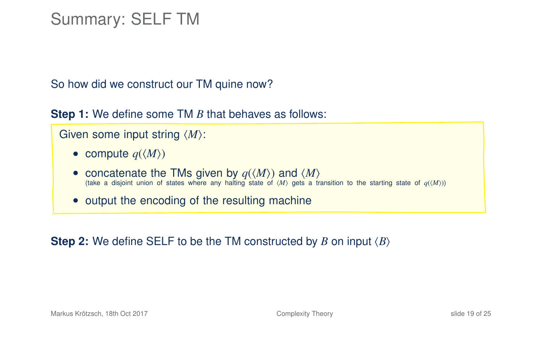# Summary: SELF TM

So how did we construct our TM quine now?

**Step 1:** We define some TM *B* that behaves as follows:

```
Given some input string \langle M \rangle:
```
- compute  $q(\langle M \rangle)$
- concatenate the TMs given by  $q(\langle M \rangle)$  and  $\langle M \rangle$ (take a disjoint union of states where any halting state of  $\langle M \rangle$  gets a transition to the starting state of  $q(\langle M \rangle)$ )
- output the encoding of the resulting machine

**Step 2:** We define SELF to be the TM constructed by *B* on input  $\langle B \rangle$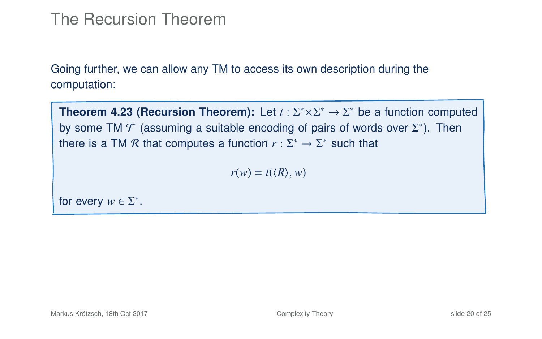### The Recursion Theorem

Going further, we can allow any TM to access its own description during the computation:

**Theorem 4.23 (Recursion Theorem):** Let  $t : \Sigma^* \times \Sigma^* \to \Sigma^*$  be a function computed by some TM  $\mathcal T$  (assuming a suitable encoding of pairs of words over  $\Sigma^*$ ). Then there is a TM  $\mathcal R$  that computes a function  $r : \Sigma^* \to \Sigma^*$  such that

<span id="page-51-0"></span> $r(w) = t(\langle R \rangle, w)$ 

for every  $w \in \Sigma^*$ .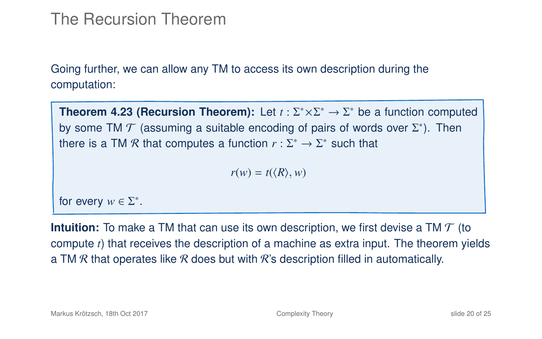### The Recursion Theorem

Going further, we can allow any TM to access its own description during the computation:

**Theorem 4.23 (Recursion Theorem):** Let  $t : \Sigma^* \times \Sigma^* \to \Sigma^*$  be a function computed by some TM  $\mathcal T$  (assuming a suitable encoding of pairs of words over  $\Sigma^*$ ). Then there is a TM  $\mathcal R$  that computes a function  $r : \Sigma^* \to \Sigma^*$  such that

 $r(w) = t(\langle R \rangle, w)$ 

for every  $w \in \Sigma^*$ .

**Intuition:** To make a TM that can use its own description, we first devise a TM  $\mathcal{T}$  (to compute *t*) that receives the description of a machine as extra input. The theorem yields a TM R that operates like R does but with R's description filled in automatically.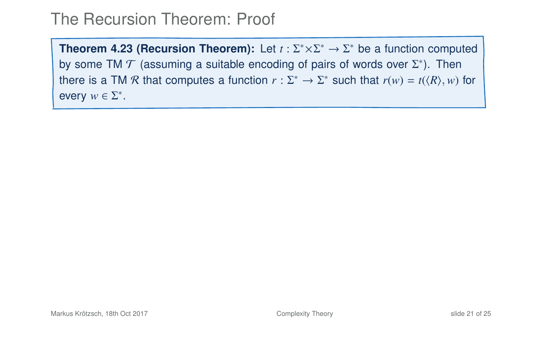**Theorem 4[.23](#page-51-0) (Recursion Theorem):** Let  $t : \Sigma^* \times \Sigma^* \to \Sigma^*$  be a function computed by some TM  $\mathcal T$  (assuming a suitable encoding of pairs of words over  $\Sigma^*$ ). Then there is a TM R that computes a function  $r : \Sigma^* \to \Sigma^*$  such that  $r(w) = t(\langle R \rangle, w)$  for every  $w \in \Sigma^*$ .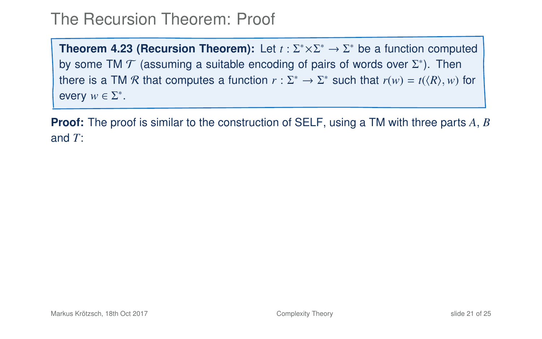**Theorem 4[.23](#page-51-0) (Recursion Theorem):** Let  $t : \Sigma^* \times \Sigma^* \to \Sigma^*$  be a function computed by some TM  $\mathcal T$  (assuming a suitable encoding of pairs of words over  $\Sigma^*$ ). Then there is a TM R that computes a function  $r : \Sigma^* \to \Sigma^*$  such that  $r(w) = t(\langle R \rangle, w)$  for every  $w \in \Sigma^*$ .

**Proof:** The proof is similar to the construction of SELF, using a TM with three parts *A*, *B* and *T*: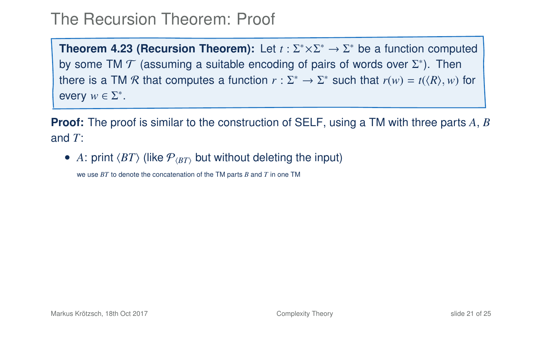**Theorem 4[.23](#page-51-0) (Recursion Theorem):** Let  $t : \Sigma^* \times \Sigma^* \to \Sigma^*$  be a function computed by some TM  $\mathcal T$  (assuming a suitable encoding of pairs of words over  $\Sigma^*$ ). Then there is a TM R that computes a function  $r : \Sigma^* \to \Sigma^*$  such that  $r(w) = t(\langle R \rangle, w)$  for every  $w \in \Sigma^*$ .

**Proof:** The proof is similar to the construction of SELF, using a TM with three parts *A*, *B* and *T*:

• A: print  $\langle BT \rangle$  (like  $P_{\langle BT \rangle}$  but without deleting the input)

we use *BT* to denote the concatenation of the TM parts *B* and *T* in one TM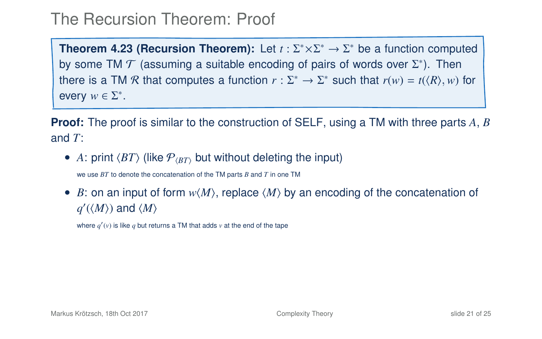**Theorem 4[.23](#page-51-0) (Recursion Theorem):** Let  $t : \Sigma^* \times \Sigma^* \to \Sigma^*$  be a function computed by some TM  $\mathcal T$  (assuming a suitable encoding of pairs of words over  $\Sigma^*$ ). Then there is a TM R that computes a function  $r : \Sigma^* \to \Sigma^*$  such that  $r(w) = t(\langle R \rangle, w)$  for every  $w \in \Sigma^*$ .

**Proof:** The proof is similar to the construction of SELF, using a TM with three parts *A*, *B* and *T*:

• A: print  $\langle BT \rangle$  (like  $P_{\langle BT \rangle}$  but without deleting the input)

we use *BT* to denote the concatenation of the TM parts *B* and *T* in one TM

• *B*: on an input of form  $w\langle M \rangle$ , replace  $\langle M \rangle$  by an encoding of the concatenation of  $q'(\langle M \rangle)$  and  $\langle M \rangle$ 

where  $q'(v)$  is like  $q$  but returns a TM that adds  $v$  at the end of the tape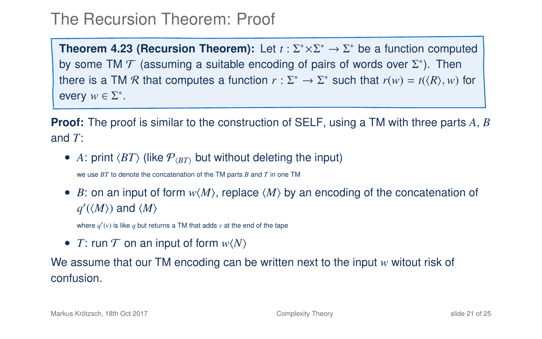**Theorem 4[.23](#page-51-0) (Recursion Theorem):** Let  $t : \Sigma^* \times \Sigma^* \to \Sigma^*$  be a function computed by some TM  $\mathcal T$  (assuming a suitable encoding of pairs of words over  $\Sigma^*$ ). Then there is a TM R that computes a function  $r : \Sigma^* \to \Sigma^*$  such that  $r(w) = t(\langle R \rangle, w)$  for every  $w \in \Sigma^*$ .

**Proof:** The proof is similar to the construction of SELF, using a TM with three parts *A*, *B* and *T*:

• A: print  $\langle BT \rangle$  (like  $P_{\langle BT \rangle}$  but without deleting the input)

we use *BT* to denote the concatenation of the TM parts *B* and *T* in one TM

• *B*: on an input of form  $w\langle M \rangle$ , replace  $\langle M \rangle$  by an encoding of the concatenation of  $q'(\langle M \rangle)$  and  $\langle M \rangle$ 

where  $q'(v)$  is like  $q$  but returns a TM that adds  $v$  at the end of the tape

• *T*: run  $T$  on an input of form  $w\langle N\rangle$ 

We assume that our TM encoding can be written next to the input *w* witout risk of confusion.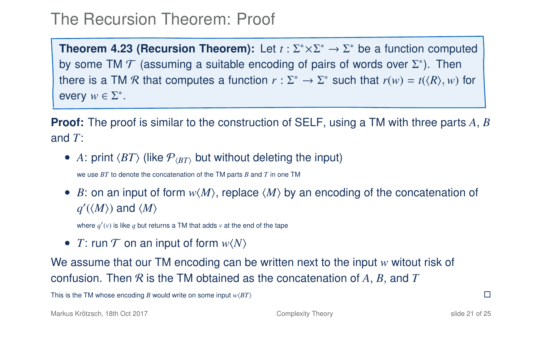**Theorem 4[.23](#page-51-0) (Recursion Theorem):** Let  $t : \Sigma^* \times \Sigma^* \to \Sigma^*$  be a function computed by some TM  $\mathcal T$  (assuming a suitable encoding of pairs of words over  $\Sigma^*$ ). Then there is a TM R that computes a function  $r : \Sigma^* \to \Sigma^*$  such that  $r(w) = t(\langle R \rangle, w)$  for every  $w \in \Sigma^*$ .

**Proof:** The proof is similar to the construction of SELF, using a TM with three parts *A*, *B* and *T*:

• A: print  $\langle BT \rangle$  (like  $P_{\langle BT \rangle}$  but without deleting the input)

we use *BT* to denote the concatenation of the TM parts *B* and *T* in one TM

• *B*: on an input of form  $w\langle M \rangle$ , replace  $\langle M \rangle$  by an encoding of the concatenation of  $q'(\langle M \rangle)$  and  $\langle M \rangle$ 

where  $q'(v)$  is like  $q$  but returns a TM that adds  $v$  at the end of the tape

• *T*: run  $T$  on an input of form  $w\langle N\rangle$ 

We assume that our TM encoding can be written next to the input *w* witout risk of confusion. Then R is the TM obtained as the concatenation of *A*, *B*, and *T*

This is the TM whose encoding *B* would write on some input  $w(BT)$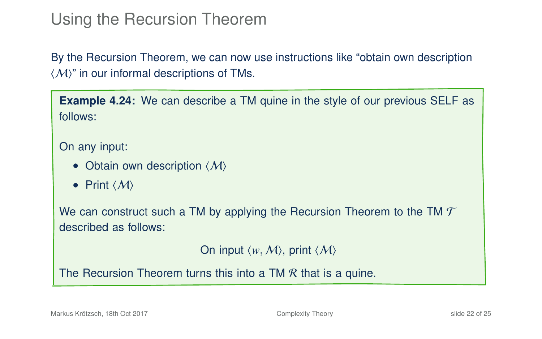# Using the Recursion Theorem

By the Recursion Theorem, we can now use instructions like "obtain own description  $\langle \mathcal{M} \rangle$ " in our informal descriptions of TMs.

**Example 4.24:** We can describe a TM quine in the style of our previous SELF as follows:

On any input:

- Obtain own description  $\langle M \rangle$
- Print  $\langle M \rangle$

We can construct such a TM by applying the Recursion Theorem to the TM  $\mathcal T$ described as follows:

On input  $\langle w, M \rangle$ , print  $\langle M \rangle$ 

The Recursion Theorem turns this into a TM  $\mathcal R$  that is a quine.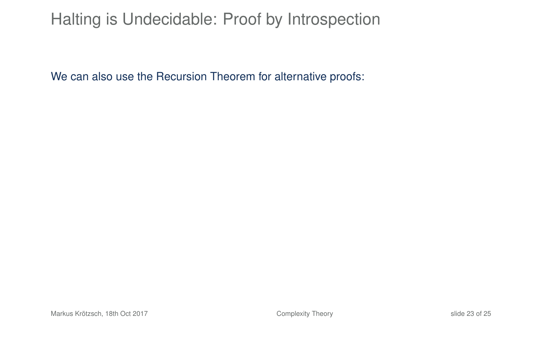# Halting is Undecidable: Proof by Introspection

We can also use the Recursion Theorem for alternative proofs: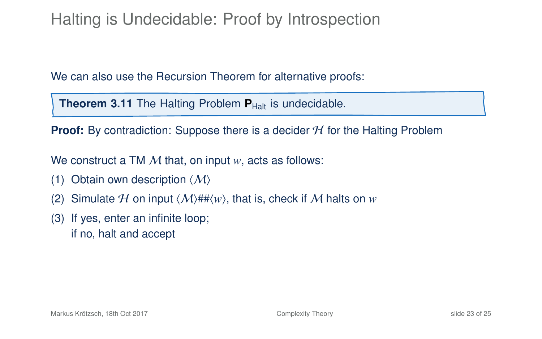# Halting is Undecidable: Proof by Introspection

We can also use the Recursion Theorem for alternative proofs:

**Theorem 3.11** The Halting Problem  $P_{\text{Half}}$  is undecidable.

**Proof:** By contradiction: Suppose there is a decider  $H$  for the Halting Problem

We construct a TM M that, on input *w*, acts as follows:

- (1) Obtain own description  $\langle M \rangle$
- (2) Simulate H on input  $\langle M \rangle$ ## $\langle w \rangle$ , that is, check if M halts on *w*
- (3) If yes, enter an infinite loop; if no, halt and accept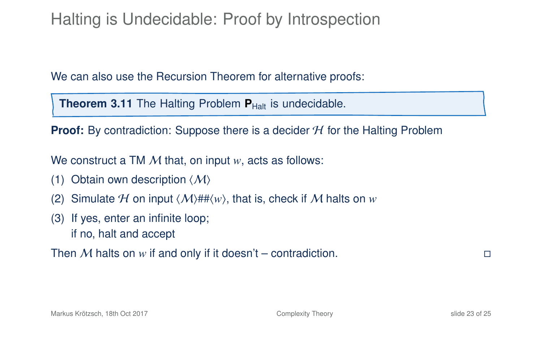# Halting is Undecidable: Proof by Introspection

We can also use the Recursion Theorem for alternative proofs:

**Theorem 3.11** The Halting Problem  $P_{\text{Half}}$  is undecidable.

**Proof:** By contradiction: Suppose there is a decider H for the Halting Problem

We construct a TM M that, on input *w*, acts as follows:

- (1) Obtain own description  $\langle M \rangle$
- (2) Simulate H on input  $\langle M \rangle$ ## $\langle w \rangle$ , that is, check if M halts on *w*
- (3) If yes, enter an infinite loop; if no, halt and accept

Then M halts on  $w$  if and only if it doesn't – contradiction.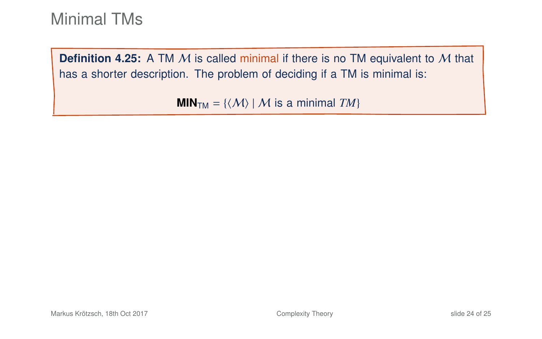**Definition 4.25:** A TM M is called minimal if there is no TM equivalent to M that has a shorter description. The problem of deciding if a TM is minimal is:

**MIN**<sub>TM</sub> = { $\langle M \rangle$  | M is a minimal *TM*}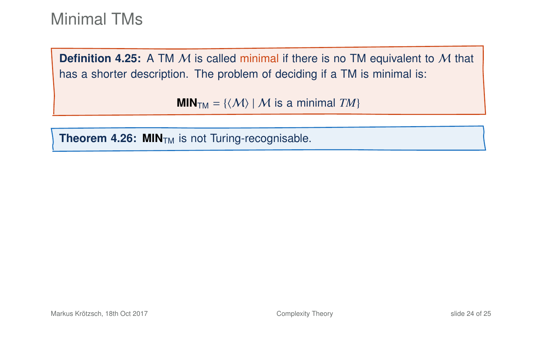**Definition 4.25:** A TM M is called minimal if there is no TM equivalent to M that has a shorter description. The problem of deciding if a TM is minimal is:

**MIN**<sub>TM</sub> = { $\langle M \rangle$  | M is a minimal *TM*}

**Theorem 4.26: MIN<sub>TM</sub>** is not Turing-recognisable.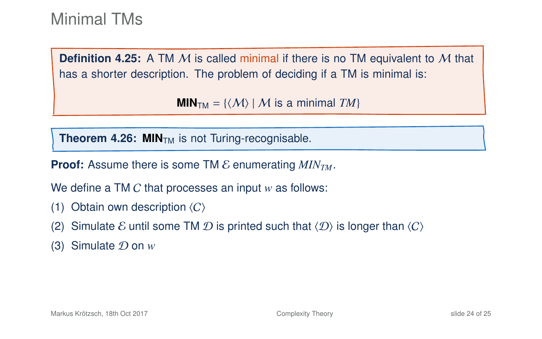**Definition 4.25:** A TM M is called minimal if there is no TM equivalent to M that has a shorter description. The problem of deciding if a TM is minimal is:

 $MIN<sub>TM</sub> = \{ \langle M \rangle | M$  is a minimal *TM*}

**Theorem 4.26: MIN<sub>TM</sub>** is not Turing-recognisable.

**Proof:** Assume there is some TM  $\mathcal{E}$  enumerating  $MIN_{TM}$ .

We define a TM C that processes an input *w* as follows:

- (1) Obtain own description  $\langle C \rangle$
- (2) Simulate E until some TM D is printed such that  $\langle D \rangle$  is longer than  $\langle C \rangle$
- (3) Simulate D on *w*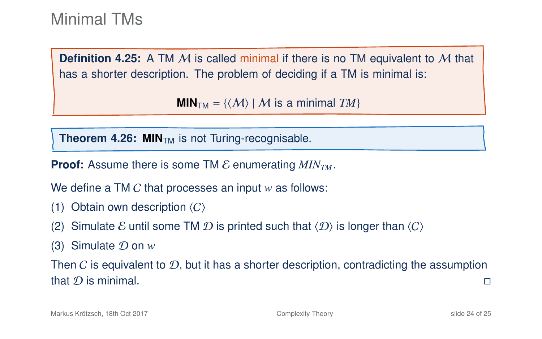**Definition 4.25:** A TM M is called minimal if there is no TM equivalent to M that has a shorter description. The problem of deciding if a TM is minimal is:

 $MIN<sub>TM</sub> = \{ \langle M \rangle | M$  is a minimal *TM*}

**Theorem 4.26: MIN<sub>TM</sub>** is not Turing-recognisable.

**Proof:** Assume there is some TM  $\mathcal{E}$  enumerating  $MIN_{TM}$ .

We define a TM C that processes an input *w* as follows:

- (1) Obtain own description  $\langle C \rangle$
- (2) Simulate E until some TM D is printed such that  $\langle D \rangle$  is longer than  $\langle C \rangle$
- (3) Simulate D on *w*

Then C is equivalent to  $\mathcal{D}$ , but it has a shorter description, contradicting the assumption that D is minimal.  $\square$